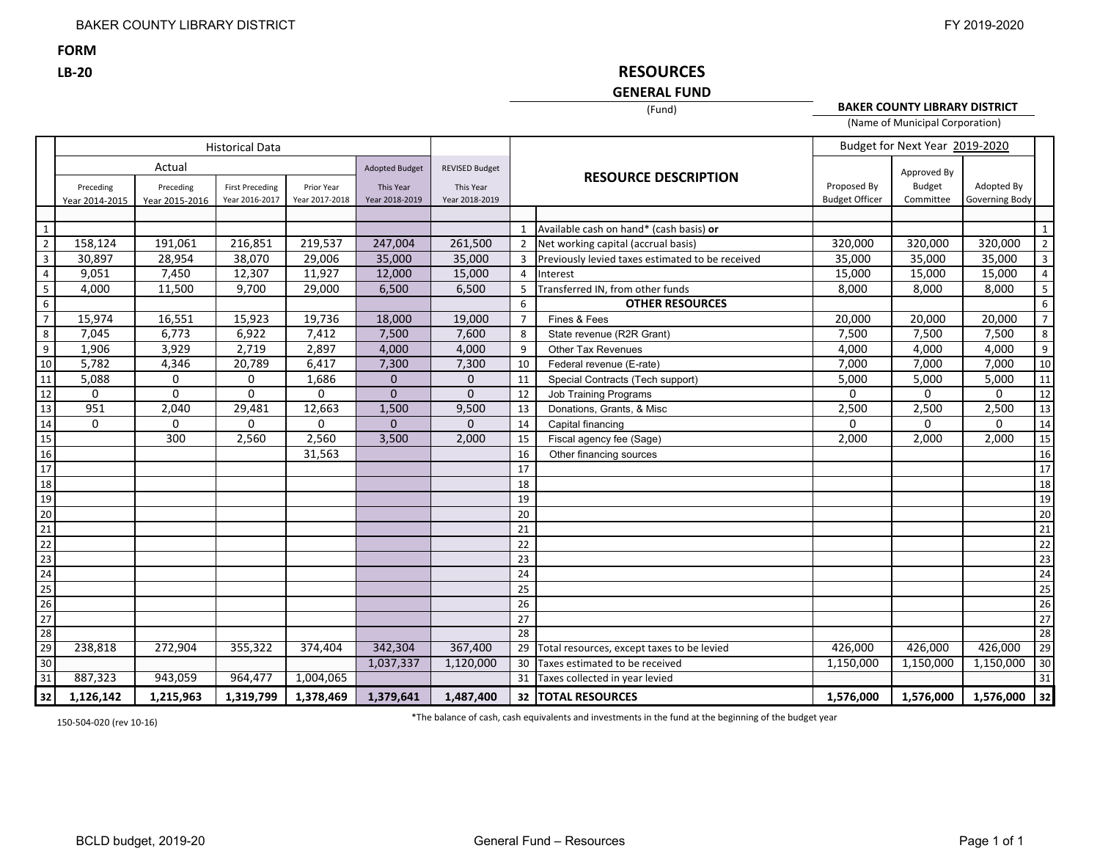**FORM**

**LB‐20**

# **RESOURCES**

# **GENERAL FUND**(Fund)

**BAKER COUNTY LIBRARY DISTRICT** (Name of Municipal Corporation)

|                                                                                                                                                             | <b>Historical Data</b>      |                                       |                                          |                              |                                                      |                                                      |                 |                                                  |                                      | Budget for Next Year 2019-2020            |                              |                |
|-------------------------------------------------------------------------------------------------------------------------------------------------------------|-----------------------------|---------------------------------------|------------------------------------------|------------------------------|------------------------------------------------------|------------------------------------------------------|-----------------|--------------------------------------------------|--------------------------------------|-------------------------------------------|------------------------------|----------------|
|                                                                                                                                                             | Preceding<br>Year 2014-2015 | Actual<br>Preceding<br>Year 2015-2016 | <b>First Preceding</b><br>Year 2016-2017 | Prior Year<br>Year 2017-2018 | <b>Adopted Budget</b><br>This Year<br>Year 2018-2019 | <b>REVISED Budget</b><br>This Year<br>Year 2018-2019 |                 | <b>RESOURCE DESCRIPTION</b>                      | Proposed By<br><b>Budget Officer</b> | Approved By<br><b>Budget</b><br>Committee | Adopted By<br>Governing Body |                |
|                                                                                                                                                             |                             |                                       |                                          |                              |                                                      |                                                      |                 |                                                  |                                      |                                           |                              |                |
| $\mathbf{1}$                                                                                                                                                |                             |                                       |                                          |                              |                                                      |                                                      | $\mathbf{1}$    | Available cash on hand* (cash basis) or          |                                      |                                           |                              | 1              |
| $\overline{2}$                                                                                                                                              | 158,124                     | 191,061                               | 216,851                                  | 219,537                      | 247,004                                              | 261,500                                              | 2               | Net working capital (accrual basis)              | 320,000                              | 320,000                                   | 320,000                      | $\overline{2}$ |
| 3                                                                                                                                                           | 30,897                      | 28,954                                | 38,070                                   | 29,006                       | 35,000                                               | 35,000                                               | 3               | Previously levied taxes estimated to be received | 35,000                               | 35,000                                    | 35,000                       | $\overline{3}$ |
| 4                                                                                                                                                           | 9,051                       | 7,450                                 | 12,307                                   | 11,927                       | 12,000                                               | 15,000                                               | 4               | Interest                                         | 15,000                               | 15,000                                    | 15,000                       | $\overline{4}$ |
| 5                                                                                                                                                           | 4,000                       | 11,500                                | 9,700                                    | 29,000                       | 6,500                                                | 6,500                                                | 5               | Transferred IN, from other funds                 | 8,000                                | 8,000                                     | 8,000                        | 5              |
| 6                                                                                                                                                           |                             |                                       |                                          |                              |                                                      |                                                      | 6               | <b>OTHER RESOURCES</b>                           |                                      |                                           |                              | 6              |
| $\overline{7}$                                                                                                                                              | 15,974                      | 16,551                                | 15,923                                   | 19,736                       | 18,000                                               | 19,000                                               | $\overline{7}$  | Fines & Fees                                     | 20,000                               | 20,000                                    | 20,000                       | $\overline{7}$ |
| 8                                                                                                                                                           | 7,045                       | 6,773                                 | 6,922                                    | 7,412                        | 7,500                                                | 7,600                                                | 8               | State revenue (R2R Grant)                        | 7,500                                | 7,500                                     | 7,500                        | 8              |
| 9                                                                                                                                                           | 1,906                       | 3,929                                 | 2,719                                    | 2,897                        | 4,000                                                | 4,000                                                | 9               | Other Tax Revenues                               | 4,000                                | 4,000                                     | 4,000                        | 9              |
| 10                                                                                                                                                          | 5,782                       | 4,346                                 | 20,789                                   | 6,417                        | 7,300                                                | 7,300                                                | 10              | Federal revenue (E-rate)                         | 7,000                                | 7,000                                     | 7,000                        | 10             |
| 11                                                                                                                                                          | 5,088                       | 0                                     | $\mathbf 0$                              | 1,686                        | $\mathbf{0}$                                         | $\mathbf{0}$                                         | 11              | Special Contracts (Tech support)                 | 5,000                                | 5,000                                     | 5,000                        | 11             |
|                                                                                                                                                             | $\mathbf{0}$                | $\Omega$                              | $\Omega$                                 | $\mathbf{0}$                 | $\Omega$                                             | $\Omega$                                             | 12              | <b>Job Training Programs</b>                     | $\Omega$                             | $\Omega$                                  | $\Omega$                     | 12             |
|                                                                                                                                                             | 951                         | 2,040                                 | 29,481                                   | 12,663                       | 1,500                                                | 9,500                                                | 13              | Donations, Grants, & Misc                        | 2,500                                | 2,500                                     | 2,500                        | 13             |
|                                                                                                                                                             | $\Omega$                    | $\Omega$                              | $\mathbf{0}$                             | $\Omega$                     | $\Omega$                                             | $\Omega$                                             | 14              | Capital financing                                | $\Omega$                             | $\Omega$                                  | $\Omega$                     | 14             |
|                                                                                                                                                             |                             | 300                                   | 2,560                                    | 2,560                        | 3,500                                                | 2,000                                                | 15              | Fiscal agency fee (Sage)                         | 2,000                                | 2,000                                     | 2,000                        | 15             |
|                                                                                                                                                             |                             |                                       |                                          | 31,563                       |                                                      |                                                      | 16              | Other financing sources                          |                                      |                                           |                              | 16             |
|                                                                                                                                                             |                             |                                       |                                          |                              |                                                      |                                                      | 17              |                                                  |                                      |                                           |                              | 17             |
| $\frac{12}{13} \frac{14}{15} \frac{15}{16} \frac{17}{18} \frac{18}{19} \frac{19}{20} \frac{11}{21} \frac{12}{21} \frac{12}{23} \frac{14}{25} \frac{15}{26}$ |                             |                                       |                                          |                              |                                                      |                                                      | 18              |                                                  |                                      |                                           |                              | 18             |
|                                                                                                                                                             |                             |                                       |                                          |                              |                                                      |                                                      | 19              |                                                  |                                      |                                           |                              | 19             |
|                                                                                                                                                             |                             |                                       |                                          |                              |                                                      |                                                      | 20              |                                                  |                                      |                                           |                              | 20             |
|                                                                                                                                                             |                             |                                       |                                          |                              |                                                      |                                                      | 21              |                                                  |                                      |                                           |                              | 21             |
|                                                                                                                                                             |                             |                                       |                                          |                              |                                                      |                                                      | 22              |                                                  |                                      |                                           |                              | 22             |
|                                                                                                                                                             |                             |                                       |                                          |                              |                                                      |                                                      | 23              |                                                  |                                      |                                           |                              | 23             |
|                                                                                                                                                             |                             |                                       |                                          |                              |                                                      |                                                      | 24              |                                                  |                                      |                                           |                              | 24             |
|                                                                                                                                                             |                             |                                       |                                          |                              |                                                      |                                                      | 25              |                                                  |                                      |                                           |                              | 25             |
|                                                                                                                                                             |                             |                                       |                                          |                              |                                                      |                                                      | 26              |                                                  |                                      |                                           |                              | 26             |
| $\overline{27}$                                                                                                                                             |                             |                                       |                                          |                              |                                                      |                                                      | 27              |                                                  |                                      |                                           |                              | 27             |
| $\overline{28}$                                                                                                                                             |                             |                                       |                                          |                              |                                                      |                                                      | $\overline{28}$ |                                                  |                                      |                                           |                              | 28             |
| 29                                                                                                                                                          | 238,818                     | 272,904                               | 355,322                                  | 374,404                      | 342,304                                              | 367,400                                              | 29              | Total resources, except taxes to be levied       | 426,000                              | 426,000                                   | 426,000                      | 29             |
| 30                                                                                                                                                          |                             |                                       |                                          |                              | 1,037,337                                            | 1,120,000                                            | 30              | Taxes estimated to be received                   | 1,150,000                            | 1,150,000                                 | 1,150,000                    | 30             |
| 31                                                                                                                                                          | 887,323                     | 943,059                               | 964,477                                  | 1,004,065                    |                                                      |                                                      | 31              | Taxes collected in year levied                   |                                      |                                           |                              | 31             |
| 32                                                                                                                                                          | 1,126,142                   | 1,215,963                             | 1,319,799                                | 1,378,469                    | 1,379,641                                            | 1,487,400                                            |                 | <b>32   TOTAL RESOURCES</b>                      | 1,576,000                            | 1,576,000                                 | 1,576,000 32                 |                |

150‐504‐020 (rev 10‐16) \*The balance of cash, cash equivalents and investments in the fund at the beginning of the budget year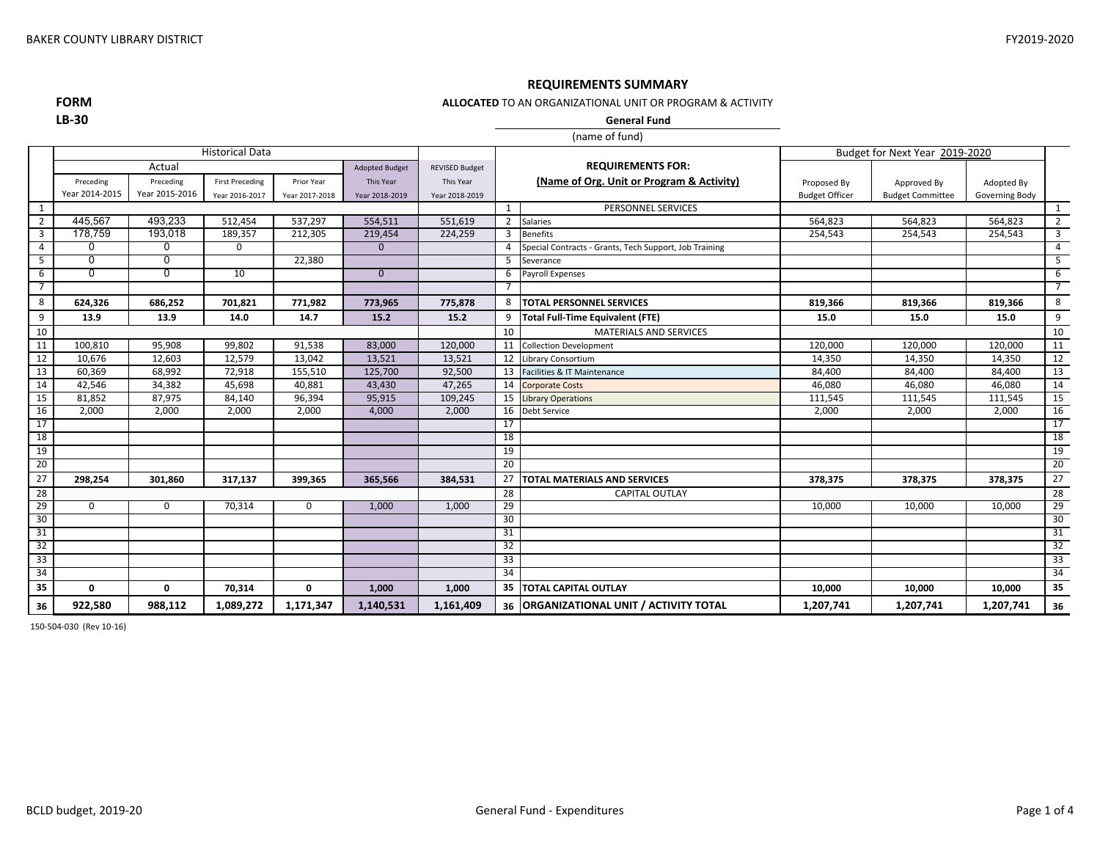### **REQUIREMENTS SUMMARY**

**FORMLB‐30**

**ALLOCATED** TO AN ORGANIZATIONAL UNIT OR PROGRAM & ACTIVITY

**General Fund**

|                |                |                | <b>Historical Data</b> |                |                       |                       |                |                                                        |                       | Budget for Next Year 2019-2020 |                |                 |
|----------------|----------------|----------------|------------------------|----------------|-----------------------|-----------------------|----------------|--------------------------------------------------------|-----------------------|--------------------------------|----------------|-----------------|
|                |                | Actual         |                        |                | <b>Adopted Budget</b> | <b>REVISED Budget</b> |                | <b>REQUIREMENTS FOR:</b>                               |                       |                                |                |                 |
|                | Preceding      | Preceding      | <b>First Preceding</b> | Prior Year     | This Year             | This Year             |                | (Name of Org. Unit or Program & Activity)              | Proposed By           | Approved By                    | Adopted By     |                 |
|                | Year 2014-2015 | Year 2015-2016 | Year 2016-2017         | Year 2017-2018 | Year 2018-2019        | Year 2018-2019        |                |                                                        | <b>Budget Officer</b> | <b>Budget Committee</b>        | Governing Body |                 |
| 1              |                |                |                        |                |                       |                       | $\mathbf{1}$   | PERSONNEL SERVICES                                     |                       |                                |                | 1               |
| $\overline{2}$ | 445,567        | 493,233        | 512,454                | 537,297        | 554,511               | 551,619               | $\overline{2}$ | <b>Salaries</b>                                        | 564,823               | 564,823                        | 564,823        | $\overline{2}$  |
| 3              | 178,759        | 193,018        | 189,357                | 212,305        | 219,454               | 224,259               | 3              | <b>Benefits</b>                                        | 254,543               | 254,543                        | 254,543        | 3               |
| 4              | 0              | 0              | 0                      |                | $\mathbf{0}$          |                       | $\overline{a}$ | Special Contracts - Grants, Tech Support, Job Training |                       |                                |                | $\overline{4}$  |
| 5              | 0              | 0              |                        | 22,380         |                       |                       | 5              | Severance                                              |                       |                                |                | 5               |
| 6              | 0              | 0              | 10                     |                | $\overline{0}$        |                       | 6              | <b>Payroll Expenses</b>                                |                       |                                |                | 6               |
| 7              |                |                |                        |                |                       |                       | -7             |                                                        |                       |                                |                | $\overline{7}$  |
| 8              | 624,326        | 686,252        | 701,821                | 771,982        | 773,965               | 775,878               | 8              | <b>TOTAL PERSONNEL SERVICES</b>                        | 819,366               | 819,366                        | 819,366        | 8               |
| 9              | 13.9           | 13.9           | 14.0                   | 14.7           | 15.2                  | 15.2                  | 9              | <b>Total Full-Time Equivalent (FTE)</b>                | 15.0                  | 15.0                           | 15.0           | 9               |
| 10             |                |                |                        |                |                       |                       | 10             | <b>MATERIALS AND SERVICES</b>                          |                       |                                |                | 10              |
| 11             | 100,810        | 95,908         | 99,802                 | 91,538         | 83,000                | 120,000               | 11             | <b>Collection Development</b>                          | 120,000               | 120,000                        | 120,000        | 11              |
| 12             | 10,676         | 12,603         | 12,579                 | 13,042         | 13,521                | 13,521                | 12             | Library Consortium                                     | 14,350                | 14,350                         | 14,350         | 12              |
| 13             | 60,369         | 68,992         | 72,918                 | 155,510        | 125,700               | 92,500                | 13             | Facilities & IT Maintenance                            | 84,400                | 84,400                         | 84,400         | 13              |
| 14             | 42,546         | 34,382         | 45.698                 | 40,881         | 43.430                | 47,265                | 14             | <b>Corporate Costs</b>                                 | 46.080                | 46,080                         | 46,080         | 14              |
| 15             | 81,852         | 87,975         | 84,140                 | 96,394         | 95,915                | 109,245               | 15             | <b>Library Operations</b>                              | 111,545               | 111,545                        | 111,545        | 15              |
| 16             | 2,000          | 2,000          | 2,000                  | 2,000          | 4,000                 | 2,000                 | 16             | <b>Debt Service</b>                                    | 2,000                 | 2,000                          | 2,000          | 16              |
| 17             |                |                |                        |                |                       |                       | 17             |                                                        |                       |                                |                | 17              |
| 18             |                |                |                        |                |                       |                       | 18             |                                                        |                       |                                |                | 18              |
| 19             |                |                |                        |                |                       |                       | 19             |                                                        |                       |                                |                | 19              |
| 20             |                |                |                        |                |                       |                       | 20             |                                                        |                       |                                |                | 20              |
| 27             | 298,254        | 301,860        | 317,137                | 399,365        | 365,566               | 384,531               | 27             | <b>TOTAL MATERIALS AND SERVICES</b>                    | 378,375               | 378,375                        | 378,375        | $\overline{27}$ |
| 28             |                |                |                        |                |                       |                       | 28             | <b>CAPITAL OUTLAY</b>                                  |                       |                                |                | 28              |
| 29             | 0              | 0              | 70,314                 | 0              | 1,000                 | 1,000                 | 29             |                                                        | 10,000                | 10,000                         | 10,000         | 29              |
| 30             |                |                |                        |                |                       |                       | 30             |                                                        |                       |                                |                | 30              |
| 31             |                |                |                        |                |                       |                       | 31             |                                                        |                       |                                |                | 31              |
| 32             |                |                |                        |                |                       |                       | 32             |                                                        |                       |                                |                | 32              |
| 33             |                |                |                        |                |                       |                       | 33             |                                                        |                       |                                |                | 33              |
| 34             |                |                |                        |                |                       | 34                    |                |                                                        |                       |                                |                | 34              |
| 35             | $\Omega$       | $\Omega$       | 70,314                 | 0              | 1.000                 | 1.000                 | 35             | <b>TOTAL CAPITAL OUTLAY</b>                            | 10.000                | 10.000                         | 10,000         | 35              |
| 36             | 922,580        | 988,112        | 1,089,272              | 1,171,347      | 1,140,531             | 1,161,409             |                | 36   ORGANIZATIONAL UNIT / ACTIVITY TOTAL              | 1,207,741             | 1,207,741                      | 1,207,741      | 36              |

150‐504‐030 (Rev 10‐16)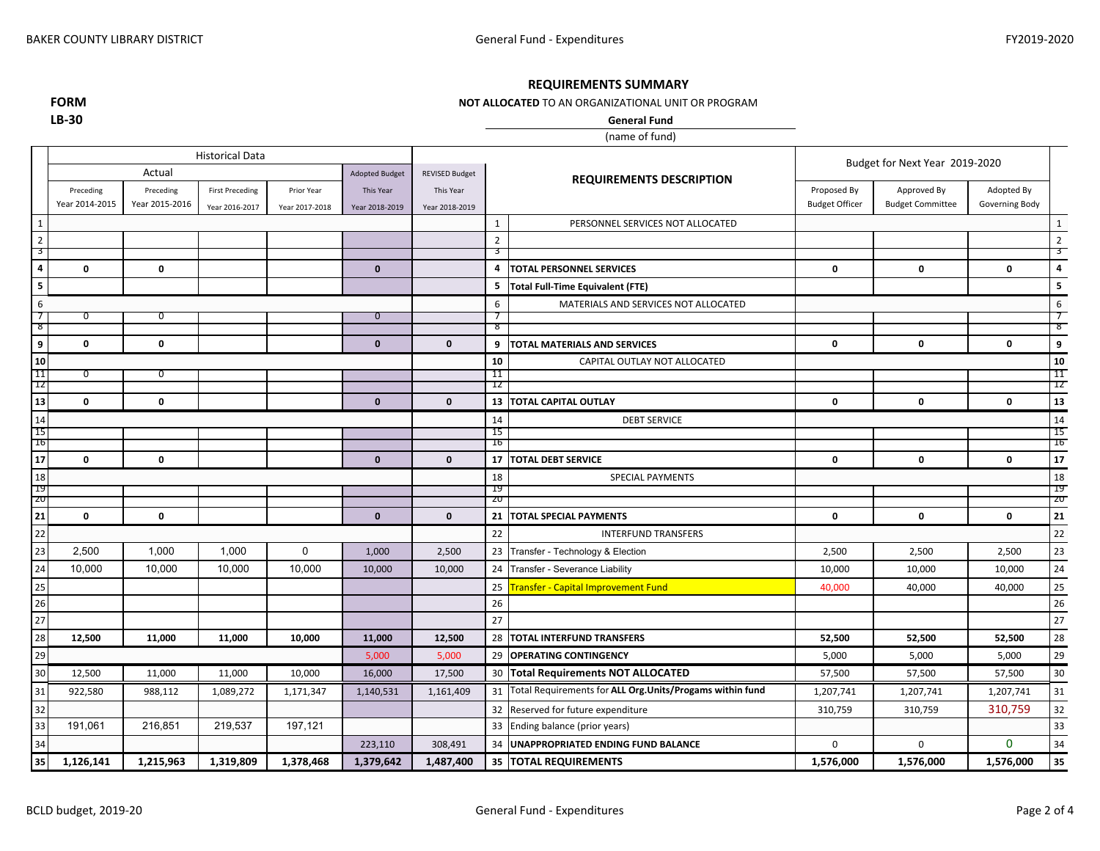### **REQUIREMENTS SUMMARY**

### **NOT ALLOCATED** TO AN ORGANIZATIONAL UNIT OR PROGRAM

**FORMLB‐30**

(name of fund) **General Fund**

|                              |                | <b>Historical Data</b> |                        |                |                       |                       |                     | Budget for Next Year 2019-2020                            |                       |                         |                |                              |
|------------------------------|----------------|------------------------|------------------------|----------------|-----------------------|-----------------------|---------------------|-----------------------------------------------------------|-----------------------|-------------------------|----------------|------------------------------|
|                              |                | Actual                 |                        |                | <b>Adopted Budget</b> | <b>REVISED Budget</b> |                     | <b>REQUIREMENTS DESCRIPTION</b>                           |                       |                         |                |                              |
|                              | Preceding      | Preceding              | <b>First Preceding</b> | Prior Year     | This Year             | This Year             |                     |                                                           | Proposed By           | Approved By             | Adopted By     |                              |
|                              | Year 2014-2015 | Year 2015-2016         | Year 2016-2017         | Year 2017-2018 | Year 2018-2019        | Year 2018-2019        |                     |                                                           | <b>Budget Officer</b> | <b>Budget Committee</b> | Governing Body |                              |
| 1                            |                |                        |                        |                |                       |                       | $\mathbf{1}$        | PERSONNEL SERVICES NOT ALLOCATED                          |                       |                         |                | $1\overline{ }$              |
| $\overline{2}$               |                |                        |                        |                |                       |                       | $\overline{2}$      |                                                           |                       |                         |                | $\overline{2}$               |
| 3<br>$\overline{\mathbf{4}}$ |                |                        |                        |                | $\mathbf{0}$          |                       | उ<br>$\overline{4}$ |                                                           |                       |                         |                | 3<br>$\overline{\mathbf{4}}$ |
|                              | 0              | $\mathbf 0$            |                        |                |                       |                       |                     | <b>TOTAL PERSONNEL SERVICES</b>                           | 0                     | $\mathbf 0$             | $\mathbf 0$    |                              |
| 5                            |                |                        |                        |                |                       |                       | 5                   | <b>Total Full-Time Equivalent (FTE)</b>                   |                       |                         |                | 5                            |
| 6<br>7                       | 0              | 0                      |                        |                | $\overline{0}$        |                       | 6                   | MATERIALS AND SERVICES NOT ALLOCATED                      |                       |                         |                | 6<br>7                       |
| ెర                           |                |                        |                        |                |                       |                       | -8                  |                                                           |                       |                         |                | ४                            |
| 9                            | 0              | $\mathbf 0$            |                        |                | $\mathbf{0}$          | $\mathbf{0}$          | 9                   | <b>TOTAL MATERIALS AND SERVICES</b>                       | 0                     | 0                       | $\mathbf 0$    | 9                            |
| 10                           |                |                        |                        |                |                       |                       | 10                  | CAPITAL OUTLAY NOT ALLOCATED                              |                       |                         |                | 10                           |
| 11<br>-12                    | <sup>0</sup>   | O                      |                        |                |                       |                       | 11<br>ΊZ            |                                                           |                       |                         |                | 11<br>12                     |
| 13                           | 0              | $\mathbf 0$            |                        |                | $\mathbf{0}$          | $\mathbf{0}$          | 13                  | <b>TOTAL CAPITAL OUTLAY</b>                               | 0                     | 0                       | $\mathbf 0$    | 13                           |
| 14                           |                |                        |                        |                |                       |                       | 14                  | <b>DEBT SERVICE</b>                                       |                       |                         |                | 14                           |
| 15                           |                |                        |                        |                |                       |                       | 15                  |                                                           |                       |                         |                | 15                           |
| <sup>10</sup>                |                |                        |                        |                |                       |                       | 16                  |                                                           |                       |                         |                | Ţр                           |
| 17                           | 0              | $\mathbf 0$            |                        |                | $\mathbf 0$           | $\mathbf 0$           | 17                  | <b>TOTAL DEBT SERVICE</b>                                 | $\mathbf 0$           | $\mathbf 0$             | $\pmb{0}$      | 17                           |
| 18<br>-19                    |                |                        |                        |                |                       |                       | 18<br>-19           | <b>SPECIAL PAYMENTS</b>                                   |                       |                         |                | 18<br>19                     |
| ZU                           |                |                        |                        |                |                       |                       | zu                  |                                                           |                       |                         |                | ZU                           |
| 21                           | 0              | $\mathbf 0$            |                        |                | $\mathbf 0$           | $\mathbf{0}$          | 21                  | <b>TOTAL SPECIAL PAYMENTS</b>                             | 0                     | $\mathbf 0$             | $\mathbf 0$    | 21                           |
| 22                           |                |                        |                        |                |                       |                       | 22                  | <b>INTERFUND TRANSFERS</b>                                |                       |                         |                | 22                           |
| 23                           | 2,500          | 1,000                  | 1,000                  | $\mathbf 0$    | 1,000                 | 2,500                 | 23                  | Transfer - Technology & Election                          | 2,500                 | 2,500                   | 2,500          | 23                           |
| 24                           | 10,000         | 10,000                 | 10,000                 | 10,000         | 10,000                | 10,000                | 24                  | Transfer - Severance Liability                            | 10,000                | 10,000                  | 10,000         | 24                           |
| 25                           |                |                        |                        |                |                       |                       | 25                  | <b>Transfer - Capital Improvement Fund</b>                | 40,000                | 40,000                  | 40,000         | 25                           |
| 26                           |                |                        |                        |                |                       |                       | 26                  |                                                           |                       |                         |                | 26                           |
| 27                           |                |                        |                        |                |                       |                       | 27                  |                                                           |                       |                         |                | 27                           |
| 28                           | 12,500         | 11,000                 | 11,000                 | 10,000         | 11,000                | 12,500                |                     | 28 TOTAL INTERFUND TRANSFERS                              | 52,500                | 52,500                  | 52,500         | 28                           |
| 29                           |                |                        |                        |                | 5,000                 | 5,000                 |                     | 29 OPERATING CONTINGENCY                                  | 5,000                 | 5,000                   | 5,000          | 29                           |
| 30                           | 12,500         | 11,000                 | 11,000                 | 10,000         | 16,000                | 17,500                |                     | 30 Total Requirements NOT ALLOCATED                       | 57,500                | 57,500                  | 57,500         | $30\,$                       |
| 31                           | 922,580        | 988,112                | 1,089,272              | 1,171,347      | 1,140,531             | 1,161,409             | 31                  | Total Requirements for ALL Org. Units/Progams within fund | 1,207,741             | 1,207,741               | 1,207,741      | 31                           |
| 32                           |                |                        |                        |                |                       |                       | 32                  | Reserved for future expenditure                           | 310,759               | 310,759                 | 310,759        | 32                           |
| 33                           | 191,061        | 216,851                | 219,537                | 197,121        |                       |                       | 33                  | Ending balance (prior years)                              |                       |                         |                | 33                           |
| 34                           |                |                        |                        |                | 223,110               | 308,491               | 34                  | UNAPPROPRIATED ENDING FUND BALANCE                        | 0                     | $\mathbf 0$             | $\mathbf{0}$   | 34                           |
| 35                           | 1,126,141      | 1,215,963              | 1,319,809              | 1,378,468      | 1,379,642             | 1,487,400             |                     | 35 TOTAL REQUIREMENTS                                     | 1,576,000             | 1,576,000               | 1,576,000      | 35                           |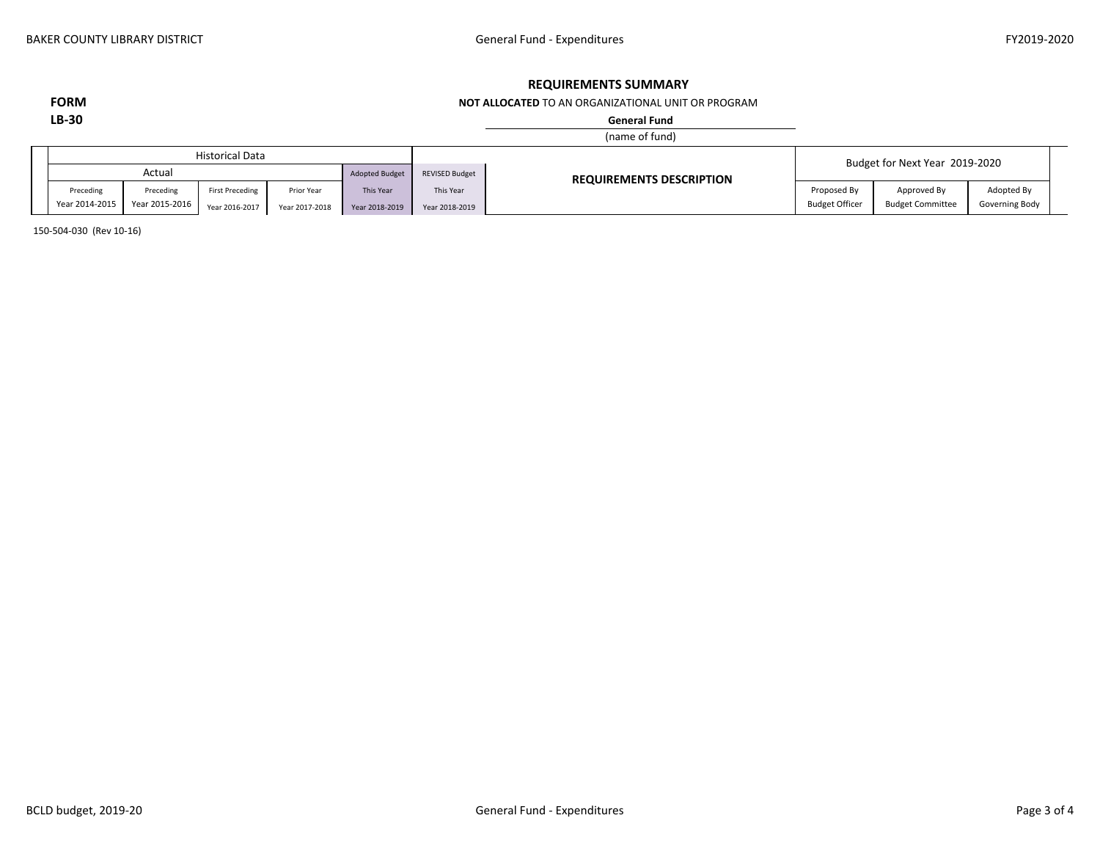# **REQUIREMENTS SUMMARY**

### **NOT ALLOCATED** TO AN ORGANIZATIONAL UNIT OR PROGRAM

**FORMLB‐30**

### **General Fund**

### (name of fund)

|                |                                                    | <b>Historical Data</b> |            |                |                       |                                 |                       | Budget for Next Year 2019-2020 |                |  |
|----------------|----------------------------------------------------|------------------------|------------|----------------|-----------------------|---------------------------------|-----------------------|--------------------------------|----------------|--|
|                | Actua                                              |                        |            | Adopted Budget | <b>REVISED Budget</b> | <b>REQUIREMENTS DESCRIPTION</b> |                       |                                |                |  |
| Preceding      | Preceding                                          | <b>First Preceding</b> | Prior Year | This Year      | This Year             |                                 | Proposed By           | Approved By                    | Adopted By     |  |
| Year 2014-2015 | Year 2015-2016<br>Year 2016-2017<br>Year 2017-2018 |                        |            | Year 2018-2019 | Year 2018-2019        |                                 | <b>Budget Officer</b> | <b>Budget Committee</b>        | Governing Body |  |

150‐504‐030 (Rev 10‐16)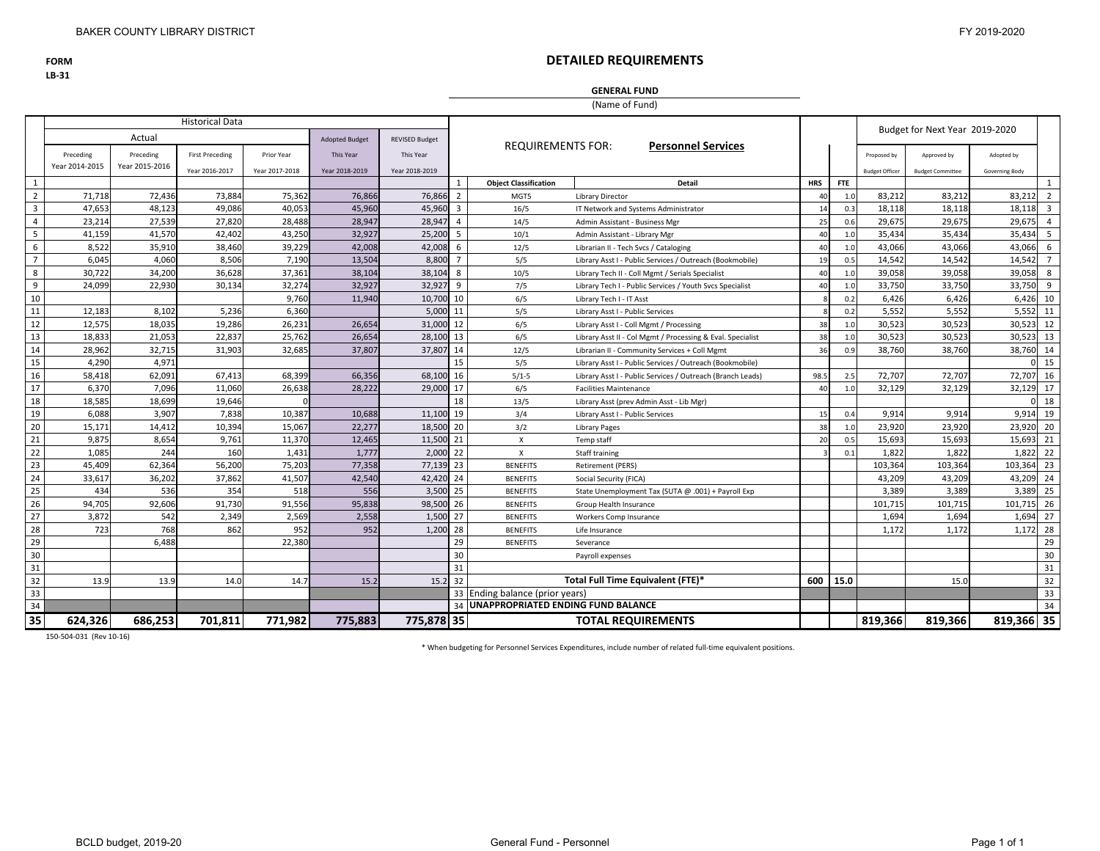**FORM**

**LB‐31**

# **DETAILED REQUIREMENTS**

### **GENERAL FUND**

(Name of Fund)

|                         |                |                | <b>Historical Data</b> |                |                       |                       |                |                                       |                                                            |            |            |                       | Budget for Next Year 2019-2020 |                |                |
|-------------------------|----------------|----------------|------------------------|----------------|-----------------------|-----------------------|----------------|---------------------------------------|------------------------------------------------------------|------------|------------|-----------------------|--------------------------------|----------------|----------------|
|                         |                | Actual         |                        |                | <b>Adopted Budget</b> | <b>REVISED Budget</b> |                |                                       |                                                            |            |            |                       |                                |                |                |
|                         | Preceding      | Preceding      | <b>First Preceding</b> | Prior Year     | <b>This Year</b>      | This Year             |                | <b>REQUIREMENTS FOR:</b>              | <b>Personnel Services</b>                                  |            |            | Proposed by           | Approved by                    | Adopted by     |                |
|                         | Year 2014-2015 | Year 2015-2016 | Year 2016-2017         | Year 2017-2018 | Year 2018-2019        | Year 2018-2019        |                |                                       |                                                            |            |            | <b>Budget Officer</b> | <b>Budget Committee</b>        | Governing Body |                |
| 1                       |                |                |                        |                |                       |                       |                | <b>Object Classification</b>          | <b>Detail</b>                                              | <b>HRS</b> | <b>FTE</b> |                       |                                |                | 1              |
| $\overline{2}$          | 71,718         | 72,436         | 73,884                 | 75,362         | 76,866                | 76,866                | $\overline{2}$ | MGT5                                  | Library Director                                           | 40         | 1.0        | 83,212                | 83,212                         | 83,212         | $\overline{2}$ |
| $\overline{\mathbf{3}}$ | 47,653         | 48,123         | 49,086                 | 40,053         | 45,960                | 45,960                | $\overline{3}$ | 16/5                                  | IT Network and Systems Administrator                       | 14         | 0.3        | 18,118                | 18,118                         | 18,118         | $\overline{3}$ |
| $\overline{4}$          | 23,214         | 27,539         | 27,820                 | 28,488         | 28,947                | 28,947                | $\overline{a}$ | 14/5                                  | Admin Assistant - Business Mgr                             | 25         | 0.6        | 29,675                | 29,675                         | 29,675         | $\overline{4}$ |
| 5                       | 41.159         | 41,570         | 42,402                 | 43,250         | 32,927                | 25,200                | 5              | 10/1                                  | Admin Assistant - Library Mgr                              | 40         | 1.0        | 35,434                | 35,434                         | 35,434         | 5              |
| 6                       | 8,522          | 35,910         | 38,460                 | 39,229         | 42,008                | 42,008                | 6              | 12/5                                  | Librarian II - Tech Svcs / Cataloging                      | 40         | 1.0        | 43,066                | 43,066                         | 43,066         | 6              |
| $\overline{7}$          | 6,045          | 4,060          | 8,506                  | 7,190          | 13,504                | 8,800                 | $\overline{7}$ | 5/5                                   | Library Asst I - Public Services / Outreach (Bookmobile)   | 19         | 0.5        | 14,542                | 14,542                         | 14,542         | $7^{\circ}$    |
| 8                       | 30,722         | 34,200         | 36,628                 | 37,361         | 38,104                | 38,104                | 8              | 10/5                                  | Library Tech II - Coll Mgmt / Serials Specialist           | 40         | 1.0        | 39,058                | 39,058                         | 39,058         | 8              |
| 9                       | 24,099         | 22,930         | 30,134                 | 32,274         | 32,927                | 32,927                | 9              | 7/5                                   | Library Tech I - Public Services / Youth Svcs Specialist   | 40         | 1.0        | 33,750                | 33,750                         | 33,750         | 9              |
| 10                      |                |                |                        | 9,760          | 11,940                | 10,700                | 10             | 6/5                                   | Library Tech I - IT Asst                                   |            | 0.2        | 6,426                 | 6,426                          | 6,426          | 10             |
| 11                      | 12,183         | 8,102          | 5,236                  | 6,360          |                       | 5,000                 | 11             | 5/5                                   | Library Asst I - Public Services                           |            | 0.2        | 5,552                 | 5,552                          | 5,552          | 11             |
| 12                      | 12,575         | 18,035         | 19,286                 | 26,231         | 26,654                | 31,000                | 12             | 6/5                                   | Library Asst I - Coll Mgmt / Processing                    | 38         | 1.0        | 30,523                | 30,523                         | 30,523         | 12             |
| 13                      | 18,833         | 21.053         | 22,837                 | 25,762         | 26,654                | 28,100                | 13             | 6/5                                   | Library Asst II - Col Mgmt / Processing & Eval. Specialist | 38         | 1.0        | 30,523                | 30,523                         | 30,523         | 13             |
| 14                      | 28,962         | 32,715         | 31,903                 | 32,685         | 37,807                | 37,807                | 14             | 12/5                                  | Librarian II - Community Services + Coll Mgmt              | 36         | 0.9        | 38,760                | 38,760                         | 38,760 14      |                |
| 15                      | 4.290          | 4.971          |                        |                |                       |                       | 15             | 5/5                                   | Library Asst I - Public Services / Outreach (Bookmobile)   |            |            |                       |                                | $\Omega$       | 15             |
| 16                      | 58,418         | 62,091         | 67,413                 | 68,399         | 66,356                | 68,100                | 16             | $5/1-5$                               | Library Asst I - Public Services / Outreach (Branch Leads) | 98.5       | 2.5        | 72,707                | 72,707                         | 72,707         | 16             |
| 17                      | 6,370          | 7,096          | 11,060                 | 26,638         | 28,222                | 29,000                | 17             | 6/5                                   | <b>Facilities Maintenance</b>                              | 40         | 1.0        | 32,129                | 32,129                         | 32,129         | 17             |
| 18                      | 18,585         | 18,699         | 19,646                 |                |                       |                       | 18             | 13/5                                  | Library Asst (prev Admin Asst - Lib Mgr)                   |            |            |                       |                                |                | 18             |
| 19                      | 6.088          | 3.907          | 7,838                  | 10,387         | 10,688                | 11,100                | 19             | 3/4                                   | Library Asst I - Public Services                           | 15         | 0.4        | 9,914                 | 9.914                          | 9,914          | 19             |
| 20                      | 15,171         | 14,412         | 10,394                 | 15,067         | 22,277                | 18,500                | 20             | 3/2                                   | Library Pages                                              | 38         | 1.0        | 23,920                | 23,920                         | 23,920         | 20             |
| 21                      | 9,875          | 8,654          | 9,761                  | 11,370         | 12,465                | 11,500                | 21             | $\boldsymbol{\mathsf{x}}$             | Temp staff                                                 | 20         | 0.5        | 15,693                | 15,693                         | 15,693 21      |                |
| 22                      | 1,085          | 244            | 160                    | 1,431          | 1,777                 | 2,000                 | 22             | $\mathsf{x}$                          | Staff training                                             |            | 0.1        | 1,822                 | 1,822                          | 1,822 22       |                |
| 23                      | 45,409         | 62,364         | 56,200                 | 75,203         | 77,358                | 77,139 23             |                | <b>BENEFITS</b>                       | <b>Retirement (PERS)</b>                                   |            |            | 103,364               | 103,364                        | 103,364        | 23             |
| 24                      | 33,617         | 36,202         | 37,862                 | 41,507         | 42,540                | 42,420 24             |                | <b>BENEFITS</b>                       | Social Security (FICA)                                     |            |            | 43,209                | 43,209                         | 43,209 24      |                |
| 25                      | 434            | 536            | 354                    | 518            | 556                   | 3,500                 | 25             | <b>BENEFITS</b>                       | State Unemployment Tax (SUTA @ .001) + Payroll Exp         |            |            | 3,389                 | 3,389                          | 3,389          | 25             |
| 26                      | 94,705         | 92,606         | 91,730                 | 91,556         | 95,838                | 98,500                | 26             | <b>BENEFITS</b>                       | Group Health Insurance                                     |            |            | 101,715               | 101,715                        | 101,715        | 26             |
| 27                      | 3,872          | 542            | 2,349                  | 2,569          | 2,558                 | 1,500                 | 27             | <b>BENEFITS</b>                       | Workers Comp Insurance                                     |            |            | 1,694                 | 1,694                          | 1,694          | 27             |
| 28                      | 723            | 768            | 862                    | 952            | 952                   | 1,200                 | 28             | <b>BENEFITS</b>                       | Life Insurance                                             |            |            | 1,172                 | 1,172                          | 1,172          | 28             |
| 29                      |                | 6.488          |                        | 22,380         |                       |                       | 29             | <b>BENEFITS</b>                       | Severance                                                  |            |            |                       |                                |                | 29             |
| 30                      |                |                |                        |                |                       |                       | 30             |                                       | Payroll expenses                                           |            |            |                       |                                |                | 30             |
| 31                      |                |                |                        |                |                       |                       | 31             |                                       |                                                            |            |            |                       |                                |                | 31             |
| 32                      | 13.9           | 13.9           | 14.0                   | 14.7           | 15.2                  | 15.2                  | 32             |                                       | Total Full Time Equivalent (FTE)*                          |            | 600 15.0   |                       | 15.0                           |                | 32             |
| 33                      |                |                |                        |                |                       |                       |                | 33 Ending balance (prior years)       |                                                            |            |            |                       |                                |                | 33             |
| 34                      |                |                |                        |                |                       |                       |                | 34 UNAPPROPRIATED ENDING FUND BALANCE |                                                            |            |            |                       |                                |                | 34             |
| $\overline{35}$         | 624,326        | 686.253        | 701,811                | 771,982        | 775,883               | 775.878 35            |                |                                       | <b>TOTAL REQUIREMENTS</b>                                  |            |            | 819,366               | 819,366                        | 819,366 35     |                |

150‐504‐031 (Rev 10‐16)

\* When budgeting for Personnel Services Expenditures, include number of related full‐time equivalent positions.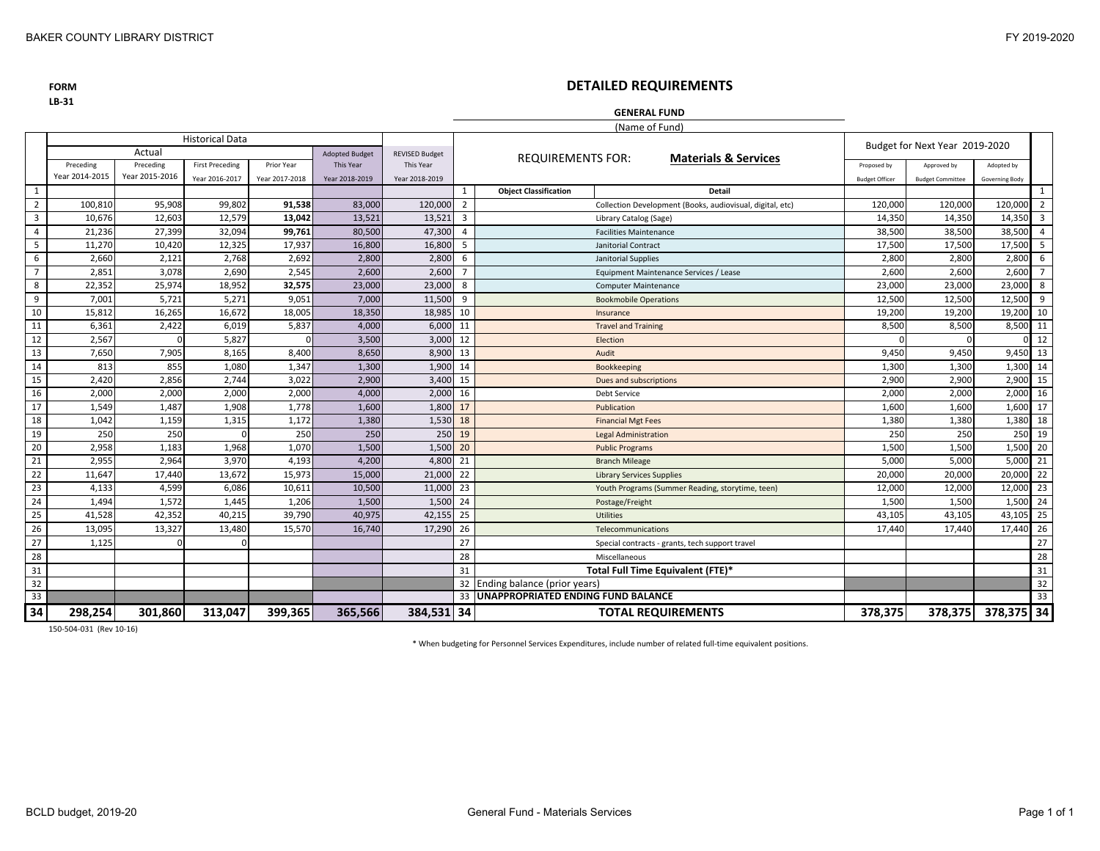**FORMLB‐31**

# **DETAILED REQUIREMENTS**

### **GENERAL FUND**

(Name of Fund)

|                | <b>Historical Data</b> |                |                        |                |                       |                       |                                                                             |                                                             |                       | Budget for Next Year 2019-2020 |                |                         |
|----------------|------------------------|----------------|------------------------|----------------|-----------------------|-----------------------|-----------------------------------------------------------------------------|-------------------------------------------------------------|-----------------------|--------------------------------|----------------|-------------------------|
|                |                        | Actual         |                        |                | <b>Adopted Budget</b> | <b>REVISED Budget</b> |                                                                             | <b>REQUIREMENTS FOR:</b><br><b>Materials &amp; Services</b> |                       |                                |                |                         |
|                | Preceding              | Preceding      | <b>First Preceding</b> | Prior Year     | <b>This Year</b>      | This Year             |                                                                             |                                                             | Proposed by           | Approved by                    | Adopted by     |                         |
|                | Year 2014-2015         | Year 2015-2016 | Year 2016-2017         | Year 2017-2018 | Year 2018-2019        | Year 2018-2019        |                                                                             |                                                             | <b>Budget Officer</b> | <b>Budget Committee</b>        | Governing Body |                         |
| 1              |                        |                |                        |                |                       |                       | -1                                                                          | <b>Object Classification</b><br><b>Detail</b>               |                       |                                |                | 1                       |
| $\overline{2}$ | 100,810                | 95,908         | 99,802                 | 91,538         | 83,000                | 120,000               | $\overline{2}$<br>Collection Development (Books, audiovisual, digital, etc) |                                                             | 120,000               | 120,000                        | 120,000        | $\overline{2}$          |
| $\overline{3}$ | 10,676                 | 12,603         | 12,579                 | 13,042         | 13,521                | 13,521                | $\overline{3}$                                                              | Library Catalog (Sage)                                      | 14.350                | 14,350                         | 14,350         | $\overline{\mathbf{3}}$ |
| $\overline{4}$ | 21,236                 | 27,399         | 32,094                 | 99,761         | 80,500                | 47,300                | $\overline{4}$                                                              | <b>Facilities Maintenance</b>                               | 38,500                | 38,500                         | 38,500         | $\overline{4}$          |
| 5              | 11,270                 | 10,420         | 12,325                 | 17,937         | 16,800                | 16,800                | -5                                                                          | Janitorial Contract                                         | 17,500                | 17,500                         | 17,500         | 5                       |
| 6              | 2,660                  | 2,121          | 2,768                  | 2,692          | 2,800                 | 2,800                 | 6                                                                           | Janitorial Supplies                                         | 2,800                 | 2,800                          | 2,800          | 6                       |
| $\overline{7}$ | 2,851                  | 3,078          | 2,690                  | 2,545          | 2,600                 | 2,600                 | $\overline{7}$<br>Equipment Maintenance Services / Lease                    |                                                             | 2,600                 | 2,600                          | 2,600          | $\overline{7}$          |
| 8              | 22,352                 | 25,974         | 18,952                 | 32,575         | 23,000                | 23,000                | 8<br><b>Computer Maintenance</b>                                            |                                                             | 23,000                | 23,000                         | 23,000         | 8                       |
| 9              | 7.001                  | 5.721          | 5.271                  | 9.051          | 7,000                 | 11.500                | 9                                                                           | <b>Bookmobile Operations</b>                                | 12.500                | 12.500                         | 12,500         | 9                       |
| 10             | 15,812                 | 16,265         | 16,672                 | 18,005         | 18,350                | 18,985                | 10                                                                          | Insurance                                                   | 19,200                | 19,200                         | 19,200         | 10                      |
| 11             | 6,361                  | 2,422          | 6,019                  | 5,837          | 4,000                 | 6,000                 | 11                                                                          | <b>Travel and Training</b>                                  | 8,500                 | 8,500                          | 8,500          | 11                      |
| 12             | 2,567                  |                | 5,827                  |                | 3,500                 | 3,000                 | 12                                                                          | Election                                                    |                       | $\cap$                         |                | 12                      |
| 13             | 7,650                  | 7,905          | 8,165                  | 8,400          | 8,650                 | 8,900                 | 13                                                                          | Audit                                                       | 9,450                 | 9,450                          | 9,450 13       |                         |
| 14             | 813                    | 855            | 1,080                  | 1,347          | 1,300                 | 1,900                 | 14                                                                          | <b>Bookkeeping</b>                                          | 1,300                 | 1,300                          | 1,300 14       |                         |
| 15             | 2,420                  | 2,856          | 2,744                  | 3,022          | 2,900                 | 3,400                 | 15                                                                          | Dues and subscriptions                                      | 2,900                 | 2,900                          | 2,900          | 15                      |
| 16             | 2,000                  | 2,000          | 2,000                  | 2,000          | 4,000                 | 2,000                 | 16                                                                          | Debt Service                                                | 2.000                 | 2,000                          | 2,000          | 16                      |
| 17             | 1,549                  | 1,487          | 1,908                  | 1.778          | 1,600                 | 1,800                 | 17                                                                          | Publication                                                 | 1.600                 | 1,600                          | 1,600          | 17                      |
| 18             | 1,042                  | 1,159          | 1,315                  | 1,172          | 1,380                 | 1,530                 | 18                                                                          | <b>Financial Mgt Fees</b>                                   | 1,380                 | 1,380                          | 1,380          | 18                      |
| 19             | 250                    | 250            |                        | 250            | 250                   | 250                   | 19                                                                          | <b>Legal Administration</b>                                 | 250                   | 250                            | 250            | 19                      |
| 20             | 2,958                  | 1,183          | 1,968                  | 1,070          | 1,500                 | 1,500                 | 20                                                                          | <b>Public Programs</b>                                      | 1,500                 | 1,500                          | 1,500          | 20                      |
| 21             | 2,955                  | 2,964          | 3,970                  | 4,193          | 4,200                 | 4,800                 | 21                                                                          | <b>Branch Mileage</b>                                       | 5,000                 | 5,000                          | 5,000          | 21                      |
| 22             | 11,647                 | 17,440         | 13,672                 | 15,973         | 15,000                | 21,000                | 22                                                                          | <b>Library Services Supplies</b>                            | 20,000                | 20,000                         | 20,000         | 22                      |
| 23             | 4,133                  | 4,599          | 6,086                  | 10,611         | 10,500                | 11,000                | 23                                                                          | Youth Programs (Summer Reading, storytime, teen)            | 12,000                | 12,000                         | 12,000         | 23                      |
| 24             | 1,494                  | 1,572          | 1.445                  | 1,206          | 1,500                 | 1.500                 | 24                                                                          | Postage/Freight                                             | 1.500                 | 1,500                          | 1.500          | 24                      |
| 25             | 41,528                 | 42,352         | 40,215                 | 39,790         | 40,975                | 42,155                | 25                                                                          | Utilities                                                   | 43,105                | 43,105                         | 43,105         | 25                      |
| 26             | 13,095                 | 13,327         | 13,480                 | 15,570         | 16,740                | 17,290                | 26                                                                          | Telecommunications                                          | 17,440                | 17,440                         | 17,440         | 26                      |
| 27             | 1,125                  |                |                        |                |                       |                       | 27                                                                          | Special contracts - grants, tech support travel             |                       |                                |                | 27                      |
| 28             |                        |                |                        |                |                       |                       | 28                                                                          | Miscellaneous                                               |                       |                                |                | 28                      |
| 31             |                        |                |                        |                |                       |                       | 31                                                                          | Total Full Time Equivalent (FTE)*                           |                       |                                |                | 31                      |
| 32             |                        |                |                        |                |                       |                       | 32                                                                          | Ending balance (prior years)                                |                       |                                |                | 32                      |
| 33             |                        |                |                        |                |                       |                       | 33                                                                          | <b>UNAPPROPRIATED ENDING FUND BALANCE</b>                   |                       |                                |                | 33                      |
| 34             | 298,254                | 301,860        | 313,047                | 399,365        | 365,566               | 384,531 34            |                                                                             | <b>TOTAL REQUIREMENTS</b>                                   | 378,375               | 378,375                        | 378,375 34     |                         |

150‐504‐031 (Rev 10‐16)

\* When budgeting for Personnel Services Expenditures, include number of related full‐time equivalent positions.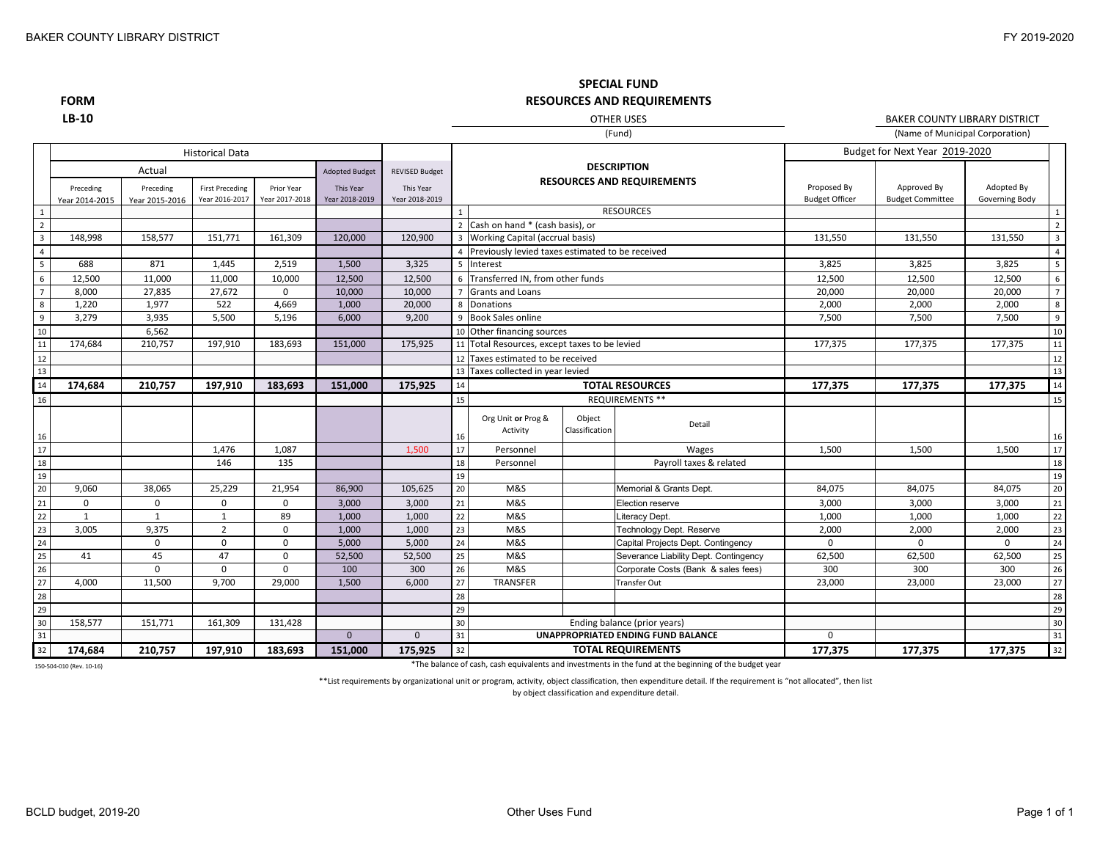**FORMLB‐10**

**RESOURCES AND REQUIREMENTS** (Fund) OTHER USES

**SPECIAL FUND**

(Name of Municipal Corporation) BAKER COUNTY LIBRARY DISTRICT

|                 |                |                     | <b>Historical Data</b> |                |                                    |                                    |                                          |                                                  |                |                                                         |                       | Budget for Next Year 2019-2020 |                |                |
|-----------------|----------------|---------------------|------------------------|----------------|------------------------------------|------------------------------------|------------------------------------------|--------------------------------------------------|----------------|---------------------------------------------------------|-----------------------|--------------------------------|----------------|----------------|
|                 | Preceding      | Actual<br>Preceding | <b>First Preceding</b> | Prior Year     | <b>Adopted Budget</b><br>This Year | <b>REVISED Budget</b><br>This Year |                                          |                                                  |                | <b>DESCRIPTION</b><br><b>RESOURCES AND REQUIREMENTS</b> | Proposed By           | Approved By                    | Adopted By     |                |
|                 | Year 2014-2015 | Year 2015-2016      | Year 2016-2017         | Year 2017-2018 | Year 2018-2019                     | Year 2018-2019                     |                                          |                                                  |                |                                                         | <b>Budget Officer</b> | <b>Budget Committee</b>        | Governing Body |                |
| $\,$ 1 $\,$     |                |                     |                        |                |                                    |                                    | $\mathbf{1}$                             |                                                  |                | <b>RESOURCES</b>                                        |                       |                                |                |                |
| $\frac{2}{3}$   |                |                     |                        |                |                                    |                                    |                                          | 2 Cash on hand * (cash basis), or                |                |                                                         |                       |                                |                |                |
|                 | 148,998        | 158,577             | 151,771                | 161,309        | 120,000                            | 120,900                            |                                          | 3 Working Capital (accrual basis)                |                |                                                         | 131,550               | 131,550                        | 131,550        |                |
| $\overline{4}$  |                |                     |                        |                |                                    |                                    |                                          | Previously levied taxes estimated to be received |                |                                                         |                       |                                |                |                |
| $\frac{1}{5}$   | 688            | 871                 | 1,445                  | 2,519          | 1,500                              | 3,325                              | 5                                        | Interest                                         |                |                                                         | 3,825                 | 3,825                          | 3,825          | 5              |
| $\,6\,$         | 12,500         | 11,000              | 11,000                 | 10,000         | 12,500                             | 12,500                             |                                          | 6 Transferred IN, from other funds               |                |                                                         | 12,500                | 12,500                         | 12,500         | 6              |
| $\overline{7}$  | 8,000          | 27,835              | 27,672                 | $\mathbf 0$    | 10,000                             | 10,000                             |                                          | <b>Grants and Loans</b>                          |                |                                                         | 20,000                | 20,000                         | 20,000         |                |
| 8               | 1,220          | 1,977               | 522                    | 4,669          | 1,000                              | 20,000                             |                                          | 8 Donations                                      |                |                                                         | 2,000                 | 2,000                          | 2,000          | 8              |
| $\overline{9}$  | 3,279          | 3,935               | 5,500                  | 5,196          | 6,000                              | 9.200                              |                                          | 9 Book Sales online                              |                |                                                         | 7.500                 | 7,500                          | 7,500          | $\overline{9}$ |
| 10              |                | 6,562               |                        |                |                                    |                                    |                                          | 10 Other financing sources                       |                |                                                         |                       |                                |                | 10             |
| 11              | 174,684        | 210,757             | 197,910                | 183,693        | 151,000                            | 175,925                            |                                          | 11 Total Resources, except taxes to be levied    |                |                                                         | 177,375               | 177,375                        | 177,375        | 11             |
| 12              |                |                     |                        |                |                                    |                                    |                                          | 12 Taxes estimated to be received                |                |                                                         |                       |                                |                | 12             |
| 13              |                |                     |                        |                |                                    |                                    |                                          | 13 Taxes collected in year levied                |                |                                                         |                       |                                |                | 13             |
| 14              | 174,684        | 210,757             | 197,910                | 183,693        | 151,000                            | 175,925                            | 14                                       |                                                  |                | <b>TOTAL RESOURCES</b>                                  | 177,375               | 177,375                        | 177,375        | 14             |
| 16              |                |                     |                        |                |                                    |                                    | 15                                       |                                                  |                | <b>REQUIREMENTS **</b>                                  |                       |                                |                | 15             |
|                 |                |                     |                        |                |                                    |                                    |                                          | Org Unit or Prog &                               | Object         |                                                         |                       |                                |                |                |
| 16              |                |                     |                        |                |                                    |                                    | 16                                       | Activity                                         | Classification | Detail                                                  |                       |                                |                | 16             |
| 17              |                |                     | 1,476                  | 1,087          |                                    | 1,500                              | 17                                       | Personnel                                        |                | Wages                                                   | 1,500                 | 1,500                          | 1,500          | 17             |
| 18              |                |                     | 146                    | 135            |                                    |                                    | 18                                       | Personnel                                        |                | Payroll taxes & related                                 |                       |                                |                | 18             |
| 19              |                |                     |                        |                |                                    |                                    | 19                                       |                                                  |                |                                                         |                       |                                |                | 19             |
| 20              | 9,060          | 38,065              | 25,229                 | 21,954         | 86,900                             | 105,625                            | 20                                       | M&S                                              |                | Memorial & Grants Dept.                                 | 84,075                | 84,075                         | 84,075         | 20             |
| $\overline{21}$ | $\mathbf 0$    | 0                   | $\mathbf 0$            | $\mathbf 0$    | 3,000                              | 3,000                              | 21                                       | M&S                                              |                | Election reserve                                        | 3,000                 | 3,000                          | 3,000          | 21             |
| $\overline{22}$ | 1              | 1                   | 1                      | 89             | 1,000                              | 1,000                              | 22                                       | M&S                                              |                | Literacy Dept.                                          | 1,000                 | 1,000                          | 1,000          | 22             |
| 23              | 3,005          | 9,375               | $\overline{2}$         | 0              | 1,000                              | 1,000                              | 23                                       | M&S                                              |                | Technology Dept. Reserve                                | 2,000                 | 2,000                          | 2,000          | 23             |
| $\overline{24}$ |                | 0                   | $\Omega$               | 0              | 5,000                              | 5,000                              | 24                                       | M&S                                              |                | Capital Projects Dept. Contingency                      | 0                     | $\mathbf 0$                    | 0              | 24             |
| 25              | 41             | 45                  | 47                     | 0              | 52,500                             | 52,500                             | 25                                       | M&S                                              |                | Severance Liability Dept. Contingency                   | 62,500                | 62,500                         | 62,500         | 25             |
| 26              |                | $\Omega$            | $\Omega$               | $\mathbf 0$    | 100                                | 300                                | 26                                       | M&S                                              |                | Corporate Costs (Bank & sales fees)                     | 300                   | 300                            | 300            | 26             |
| $\overline{27}$ | 4,000          | 11,500              | 9,700                  | 29,000         | 1,500                              | 6,000                              | 27                                       | TRANSFER                                         |                | Transfer Out                                            | 23,000                | 23,000                         | 23,000         | 27             |
| $\overline{28}$ |                |                     |                        |                |                                    |                                    | 28                                       |                                                  |                |                                                         |                       |                                |                | 28             |
| 29              |                |                     |                        |                |                                    |                                    | 29                                       |                                                  |                |                                                         |                       |                                |                | 29             |
| 30              | 158,577        | 151,771             | 161,309                | 131,428        |                                    |                                    | 30<br>Ending balance (prior years)       |                                                  |                |                                                         |                       |                                | 30             |                |
| 31              |                |                     |                        |                | $\overline{0}$                     | $\Omega$                           | 31<br>UNAPPROPRIATED ENDING FUND BALANCE |                                                  |                |                                                         | $\Omega$              |                                |                | 31             |
| 32              | 174,684        | 210,757             | 197,910                | 183,693        | 151,000                            | 175,925                            | 32                                       |                                                  |                | <b>TOTAL REQUIREMENTS</b>                               | 177,375               | 177,375                        | 177,375        | 32             |

150‐504‐010 (Rev. 10‐16)

\*The balance of cash, cash equivalents and investments in the fund at the beginning of the budget year

\*\*List requirements by organizational unit or program, activity, object classification, then expenditure detail. If the requirement is "not allocated", then list

by object classification and expenditure detail.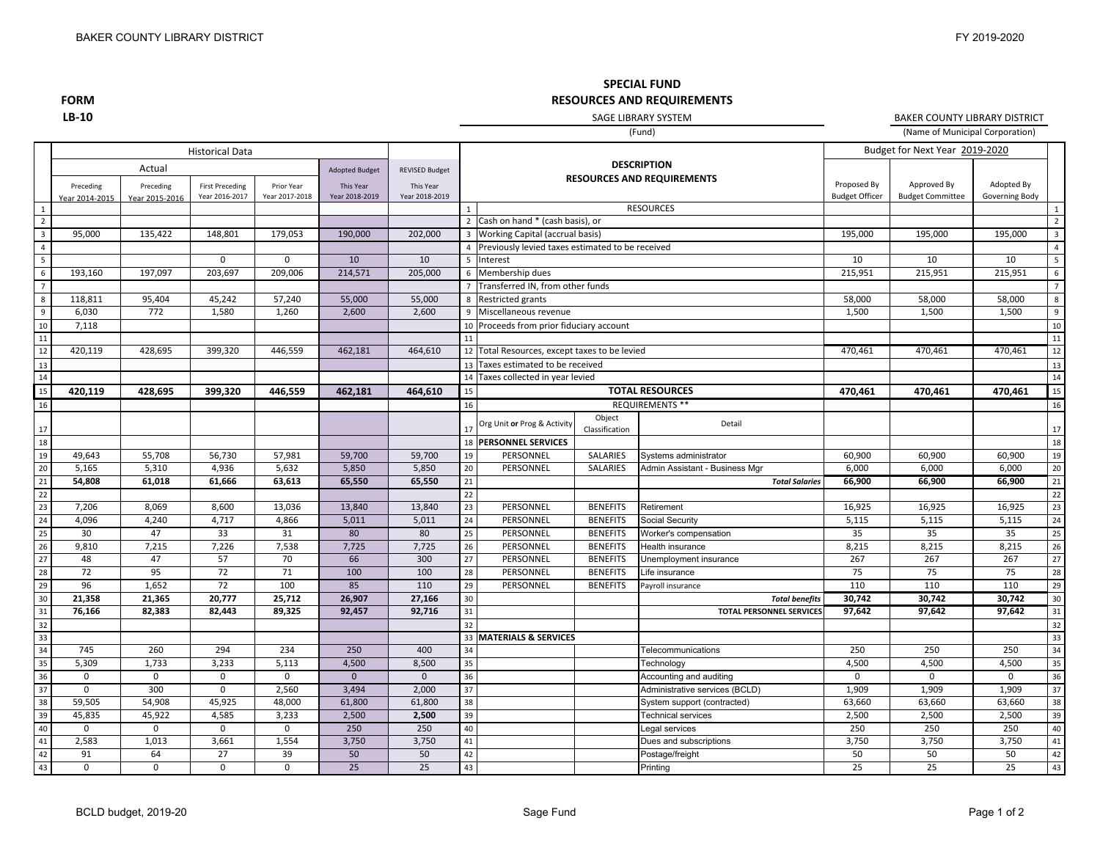## **SPECIAL FUND RESOURCES AND REQUIREMENTS**

**FORM LB‐10**

SAGE LIBRARY SYSTEM

(Name of Municipal Corporation) BAKER COUNTY LIBRARY DISTRICT

|                         |                             |                             |                                          |                              |                             | (Fund)                      |                         |                                                          |                          |                                                          | (Name of Municipal Corporation)      |                                        |                              |                         |  |
|-------------------------|-----------------------------|-----------------------------|------------------------------------------|------------------------------|-----------------------------|-----------------------------|-------------------------|----------------------------------------------------------|--------------------------|----------------------------------------------------------|--------------------------------------|----------------------------------------|------------------------------|-------------------------|--|
|                         |                             |                             | <b>Historical Data</b>                   |                              |                             |                             |                         |                                                          |                          |                                                          |                                      | Budget for Next Year 2019-2020         |                              |                         |  |
|                         |                             | Actual                      |                                          |                              | <b>Adopted Budget</b>       | <b>REVISED Budget</b>       |                         |                                                          |                          | <b>DESCRIPTION</b>                                       |                                      |                                        |                              |                         |  |
|                         | Preceding<br>Year 2014-2015 | Preceding<br>Year 2015-2016 | <b>First Preceding</b><br>Year 2016-2017 | Prior Year<br>Year 2017-2018 | This Year<br>Year 2018-2019 | This Year<br>Year 2018-2019 |                         |                                                          |                          | <b>RESOURCES AND REQUIREMENTS</b>                        | Proposed By<br><b>Budget Officer</b> | Approved By<br><b>Budget Committee</b> | Adopted By<br>Governing Body |                         |  |
| 1                       |                             |                             |                                          |                              |                             |                             | $\overline{1}$          |                                                          |                          | <b>RESOURCES</b>                                         |                                      |                                        |                              | 1                       |  |
| $\overline{2}$          |                             |                             |                                          |                              |                             |                             |                         | 2 Cash on hand * (cash basis), or                        |                          |                                                          |                                      |                                        |                              | $\overline{2}$          |  |
| $\overline{\mathbf{3}}$ | 95,000                      | 135,422                     | 148,801                                  | 179,053                      | 190,000                     | 202,000                     | $\overline{\mathbf{3}}$ | Working Capital (accrual basis)                          |                          |                                                          | 195,000                              | 195,000                                | 195,000                      | $\overline{\mathbf{3}}$ |  |
| $\overline{4}$          |                             |                             |                                          |                              |                             |                             | $\overline{4}$          | Previously levied taxes estimated to be received         |                          |                                                          |                                      |                                        |                              | $\overline{4}$          |  |
| $5\overline{)}$         |                             |                             | 0                                        | $\mathbf 0$                  | 10                          | 10                          | 5                       | Interest                                                 |                          |                                                          | 10                                   | 10                                     | 10                           | 5                       |  |
| $6\overline{6}$         | 193,160                     | 197,097                     | 203,697                                  | 209,006                      | 214,571                     | 205,000                     |                         | 6 Membership dues                                        |                          |                                                          | 215,951                              | 215,951                                | 215,951                      | 6                       |  |
| $\overline{7}$          |                             |                             |                                          |                              |                             |                             | $\overline{7}$          | Transferred IN, from other funds                         |                          |                                                          |                                      |                                        |                              | $\overline{7}$          |  |
| 8                       | 118,811                     | 95,404                      | 45,242                                   | 57,240                       | 55,000                      | 55,000                      | 8                       | <b>Restricted grants</b>                                 |                          |                                                          | 58,000                               | 58,000                                 | 58,000                       | 8                       |  |
| 9                       | 6,030                       | 772                         | 1,580                                    | 1,260                        | 2,600                       | 2,600                       |                         | 9 Miscellaneous revenue                                  |                          |                                                          | 1,500                                | 1,500                                  | 1,500                        | 9                       |  |
| 10                      | 7,118                       |                             |                                          |                              |                             |                             | 10                      | Proceeds from prior fiduciary account                    |                          |                                                          |                                      |                                        |                              | 10                      |  |
| 11                      |                             |                             |                                          |                              |                             |                             | 11                      |                                                          |                          |                                                          |                                      |                                        |                              | 11                      |  |
| 12                      | 420,119                     | 428,695                     | 399,320                                  | 446,559                      | 462,181                     | 464,610                     |                         | 12 Total Resources, except taxes to be levied<br>470,461 |                          |                                                          |                                      | 470,461                                | 470,461                      | 12                      |  |
| 13                      |                             |                             |                                          |                              |                             |                             |                         | 13 Taxes estimated to be received                        |                          |                                                          |                                      |                                        |                              | 13                      |  |
| 14                      |                             |                             |                                          |                              |                             |                             |                         | 14 Taxes collected in year levied                        |                          |                                                          |                                      |                                        |                              | 14                      |  |
| 15                      | 420,119                     | 428,695                     | 399,320                                  | 446,559                      | 462,181                     | 464,610                     | 15                      | <b>TOTAL RESOURCES</b><br>470,461                        |                          |                                                          |                                      | 470,461                                | 470,461                      | 15                      |  |
| 16                      |                             |                             |                                          |                              |                             |                             | 16                      |                                                          |                          | <b>REQUIREMENTS **</b>                                   |                                      |                                        |                              | 16                      |  |
| 17                      |                             |                             |                                          |                              |                             |                             | 17                      | Org Unit or Prog & Activity                              | Object<br>Classification | Detail                                                   |                                      |                                        |                              | 17                      |  |
| 18                      |                             |                             |                                          |                              |                             |                             |                         | 18 PERSONNEL SERVICES                                    |                          |                                                          |                                      |                                        |                              | 18                      |  |
| 19                      | 49,643                      | 55,708                      | 56,730                                   | 57,981                       | 59,700                      | 59,700                      | 19                      | PERSONNEL                                                | SALARIES                 | Systems administrator                                    | 60,900                               | 60,900                                 | 60,900                       | 19                      |  |
| 20                      | 5,165                       | 5,310                       | 4,936                                    | 5,632                        | 5,850                       | 5,850                       | 20                      | PERSONNEL                                                | SALARIES                 | Admin Assistant - Business Mgr                           | 6,000                                | 6,000                                  | 6,000                        | 20                      |  |
| 21                      | 54,808                      | 61,018                      | 61,666                                   | 63,613                       | 65,550                      | 65,550                      | 21                      |                                                          |                          | <b>Total Salaries</b>                                    | 66,900                               | 66,900                                 | 66,900                       | 21                      |  |
| 22                      |                             |                             |                                          |                              |                             |                             | 22                      |                                                          |                          |                                                          |                                      |                                        |                              | 22                      |  |
| 23                      | 7,206                       | 8,069                       | 8,600                                    | 13,036                       | 13,840                      | 13,840                      | 23                      | PERSONNEL                                                | <b>BENEFITS</b>          | Retirement                                               | 16,925                               | 16,925                                 | 16,925                       | $\overline{23}$         |  |
| 24                      | 4,096                       | 4,240                       | 4,717                                    | 4,866                        | 5,011                       | 5,011                       | 24                      | PERSONNEL                                                | <b>BENEFITS</b>          | Social Security                                          | 5,115                                | 5,115                                  | 5,115                        | 24                      |  |
| 25                      | 30                          | 47                          | 33                                       | 31                           | 80                          | 80                          | 25                      | PERSONNEL                                                | <b>BENEFITS</b>          | Worker's compensation                                    | 35                                   | 35                                     | 35                           | 25                      |  |
| 26                      | 9,810                       | 7,215                       | 7,226                                    | 7,538                        | 7,725                       | 7,725                       | 26                      | PERSONNEL                                                | <b>BENEFITS</b>          | Health insurance                                         | 8,215                                | 8,215                                  | 8,215                        | 26                      |  |
| 27                      | 48                          | 47                          | 57                                       | 70                           | 66                          | 300                         | 27                      | PERSONNEL                                                | <b>BENEFITS</b>          | Jnemployment insurance                                   | 267                                  | 267                                    | 267                          | 27                      |  |
| 28                      | 72                          | 95                          | 72                                       | 71                           | 100                         | 100                         | 28                      | PERSONNEL                                                | <b>BENEFITS</b>          | ife insurance                                            | 75                                   | 75                                     | 75                           | 28                      |  |
| 29<br>30                | 96<br>21,358                | 1,652<br>21,365             | 72<br>20,777                             | 100<br>25,712                | 85<br>26,907                | 110<br>27,166               | 29<br>30                | PERSONNEL                                                | <b>BENEFITS</b>          | Payroll insurance                                        | 110<br>30,742                        | 110                                    | 110<br>30,742                | 29<br>30                |  |
| 31                      | 76,166                      | 82,383                      | 82,443                                   | 89,325                       | 92,457                      | 92,716                      | 31                      |                                                          |                          | <b>Total benefits</b><br><b>TOTAL PERSONNEL SERVICES</b> | 97,642                               | 30,742<br>97,642                       | 97,642                       | 31                      |  |
| 32                      |                             |                             |                                          |                              |                             |                             | 32                      |                                                          |                          |                                                          |                                      |                                        |                              | 32                      |  |
| 33                      |                             |                             |                                          |                              |                             |                             | 33                      | <b>MATERIALS &amp; SERVICES</b>                          |                          |                                                          |                                      |                                        |                              | 33                      |  |
| 34                      | 745                         | 260                         | 294                                      | 234                          | 250                         | 400                         | 34                      |                                                          |                          | Telecommunications                                       | 250                                  | 250                                    | 250                          | 34                      |  |
| 35                      | 5,309                       | 1,733                       | 3,233                                    | 5,113                        | 4,500                       | 8,500                       | 35                      |                                                          |                          | Technology                                               | 4,500                                | 4,500                                  | 4,500                        | 35                      |  |
| 36                      | $\Omega$                    | $\mathbf 0$                 | $\mathbf 0$                              | $\mathbf 0$                  | $\mathbf{0}$                | $\mathbf{0}$                | 36                      |                                                          |                          | Accounting and auditing                                  | $\mathbf 0$                          | $\mathbf 0$                            | $\mathbf 0$                  | 36                      |  |
| 37                      | $\mathbf 0$                 | 300                         | $\mathsf 0$                              | 2,560                        | 3,494                       | 2,000                       | 37                      |                                                          |                          | Administrative services (BCLD)                           | 1,909                                | 1,909                                  | 1,909                        | 37                      |  |
| 38                      | 59,505                      | 54,908                      | 45,925                                   | 48,000                       | 61,800                      | 61,800                      | 38                      |                                                          |                          | System support (contracted)                              | 63,660                               | 63,660                                 | 63,660                       | 38                      |  |
| 39                      | 45,835                      | 45,922                      | 4,585                                    | 3,233                        | 2,500                       | 2,500                       | 39                      |                                                          |                          | Technical services                                       | 2,500                                | 2,500                                  | 2,500                        | 39                      |  |
| 40                      | $\mathbf 0$                 | 0                           | $\mathbf 0$                              | $\mathbf 0$                  | 250                         | 250                         | 40                      |                                                          |                          | Legal services                                           | 250                                  | 250                                    | 250                          | 40                      |  |
| 41                      | 2,583                       | 1,013                       | 3,661                                    | 1,554                        | 3,750                       | 3,750                       | 41                      |                                                          |                          | Dues and subscriptions                                   | 3,750                                | 3,750                                  | 3,750                        | 41                      |  |
| 42                      | 91                          | 64                          | 27                                       | 39                           | 50                          | 50                          | 42                      |                                                          |                          | Postage/freight                                          | 50                                   | 50                                     | 50                           | 42                      |  |
| 43                      | $\mathbf 0$                 | $\mathbf 0$                 | $\mathbf 0$                              | $\mathbf 0$                  | 25                          | 25                          | 43                      |                                                          |                          | Printing                                                 | 25                                   | 25                                     | $\overline{25}$              | 43                      |  |
|                         |                             |                             |                                          |                              |                             |                             |                         |                                                          |                          |                                                          |                                      |                                        |                              |                         |  |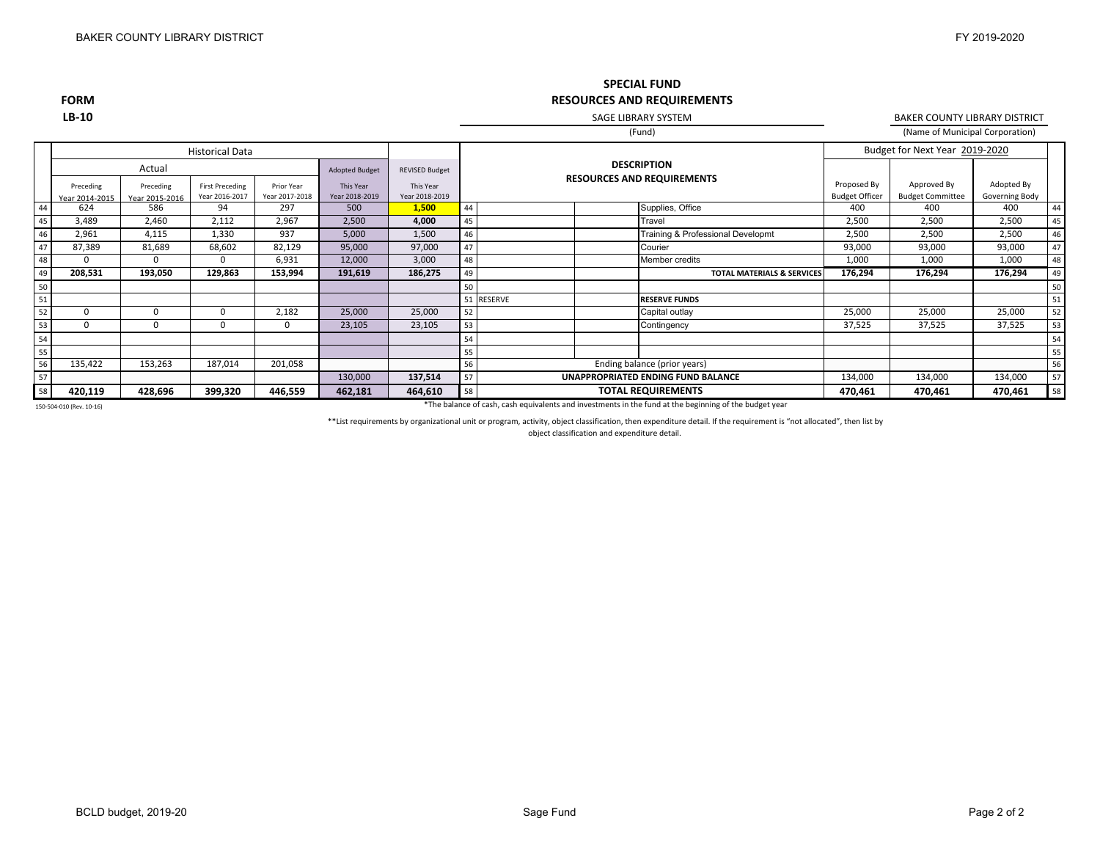### Adopted Budget REVISED Budget Historical DataBudget for Next Year 2019-2020 **SPECIAL FUND RESOURCES AND REQUIREMENTS** (Fund) **DESCRIPTION**SAGE LIBRARY SYSTEM(Name of Municipal Corporation) BAKER COUNTY LIBRARY DISTRICT

|    |                             | Actual                      |                                         |                              | <b>Adopted Budget</b>       | <b>REVISED Budget</b>       | <b>DESCRIPTION</b>                       |                              |                                       |                                      |                                        |                              |    |
|----|-----------------------------|-----------------------------|-----------------------------------------|------------------------------|-----------------------------|-----------------------------|------------------------------------------|------------------------------|---------------------------------------|--------------------------------------|----------------------------------------|------------------------------|----|
|    | Preceding<br>Year 2014-2015 | Preceding<br>Year 2015-2016 | <b>First Preceding</b><br>Year 2016-201 | Prior Year<br>Year 2017-2018 | This Year<br>Year 2018-2019 | This Year<br>Year 2018-2019 |                                          |                              | <b>RESOURCES AND REQUIREMENTS</b>     | Proposed By<br><b>Budget Officer</b> | Approved By<br><b>Budget Committee</b> | Adopted By<br>Governing Body |    |
| 44 | 624                         | 586                         | 94                                      | 297                          | 500                         | 1,500                       | 44                                       |                              | Supplies, Office                      | 400                                  | 400                                    | 400                          | 44 |
| 45 | 3,489                       | 2,460                       | 2,112                                   | 2,967                        | 2,500                       | 4,000                       | 45                                       |                              | Travel                                | 2,500                                | 2,500                                  | 2,500                        | 45 |
| 46 | 2,961                       | 4,115                       | 1,330                                   | 937                          | 5,000                       | 1,500                       | 46                                       |                              | Training & Professional Developmt     | 2,500                                | 2,500                                  | 2,500                        | 46 |
| 47 | 87,389                      | 81,689                      | 68,602                                  | 82,129                       | 95,000                      | 97,000                      | 147                                      |                              | Courier                               | 93,000                               | 93,000                                 | 93,000                       | 47 |
| 48 |                             |                             |                                         | 6,931                        | 12,000                      | 3,000                       | 48                                       |                              | Member credits                        | 1,000                                | 1,000                                  | 1,000                        | 48 |
| 49 | 208,531                     | 193,050                     | 129,863                                 | 153,994                      | 191,619                     | 186,275                     | 49                                       |                              | <b>TOTAL MATERIALS &amp; SERVICES</b> | 176,294                              | 176,294                                | 176,294                      | 49 |
| 50 |                             |                             |                                         |                              |                             |                             | 50                                       |                              |                                       |                                      |                                        |                              | 50 |
| 51 |                             |                             |                                         |                              |                             |                             |                                          | 51 RESERVE                   | <b>RESERVE FUNDS</b>                  |                                      |                                        |                              | 51 |
| 52 |                             |                             |                                         | 2,182                        | 25,000                      | 25,000                      | 52                                       |                              | Capital outlay                        | 25,000                               | 25,000                                 | 25,000                       | 52 |
| 53 | $\Omega$                    | υ                           |                                         | 0                            | 23,105                      | 23,105                      | 53                                       |                              | Contingency                           | 37,525                               | 37,525                                 | 37,525                       | 53 |
| 54 |                             |                             |                                         |                              |                             |                             | 54                                       |                              |                                       |                                      |                                        |                              | 54 |
| 55 |                             |                             |                                         |                              |                             |                             | 55                                       |                              |                                       |                                      |                                        |                              | 55 |
| 56 | 135,422                     | 153,263                     | 187,014                                 | 201,058                      |                             |                             | 56                                       | Ending balance (prior years) |                                       |                                      |                                        |                              | 56 |
| 57 |                             |                             |                                         |                              | 130,000                     | 137,514                     | 57<br>UNAPPROPRIATED ENDING FUND BALANCE |                              |                                       | 134,000                              | 134,000                                | 134,000                      | 57 |
| 58 | 420,119                     | 428,696                     | 399,320                                 | 446,559                      | 462,181                     | 464,610                     | 58<br><b>TOTAL REQUIREMENTS</b>          |                              | 470,461                               | 470,461                              | 470,461                                | 58                           |    |

150‐504‐010 (Rev. 10‐16)

**FORM LB‐10**

\*The balance of cash, cash equivalents and investments in the fund at the beginning of the budget year

\*\*List requirements by organizational unit or program, activity, object classification, then expenditure detail. If the requirement is "not allocated", then list by

object classification and expenditure detail.